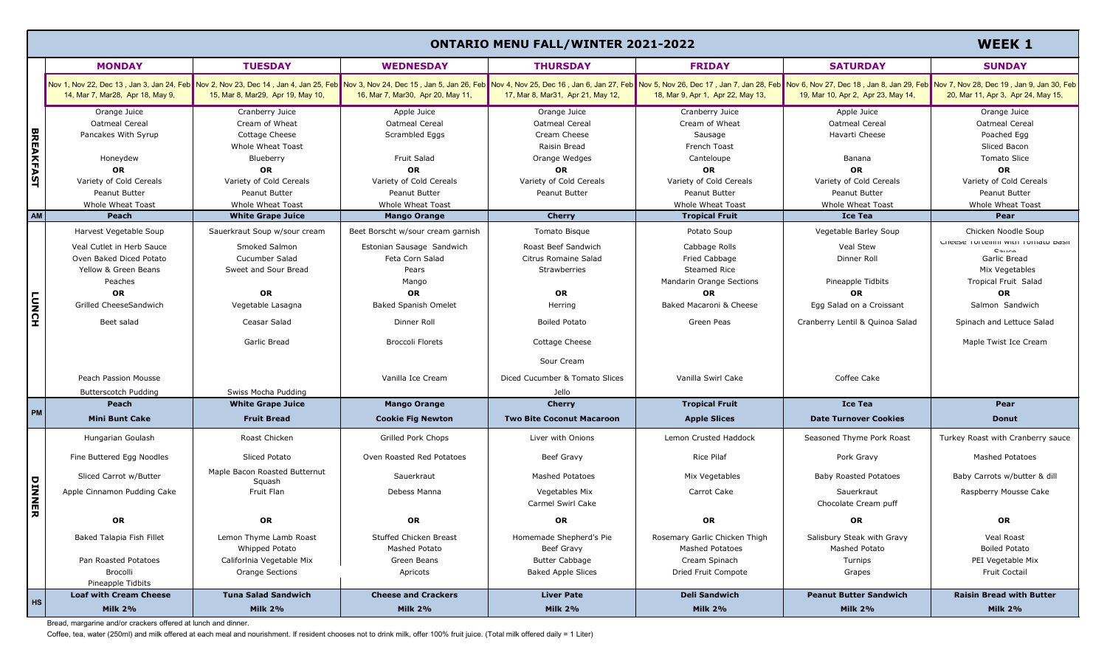|                  | <b>ONTARIO MENU FALL/WINTER 2021-2022</b>                     |                                                                                                                                                                                                                                                                    |                                                 |                                          |                                                         |                                             | <b>WEEK 1</b>                                 |
|------------------|---------------------------------------------------------------|--------------------------------------------------------------------------------------------------------------------------------------------------------------------------------------------------------------------------------------------------------------------|-------------------------------------------------|------------------------------------------|---------------------------------------------------------|---------------------------------------------|-----------------------------------------------|
|                  | <b>MONDAY</b>                                                 | <b>TUESDAY</b>                                                                                                                                                                                                                                                     | <b>WEDNESDAY</b>                                | <b>THURSDAY</b>                          | <b>FRIDAY</b>                                           | <b>SATURDAY</b>                             | <b>SUNDAY</b>                                 |
| <b>BREAKFAST</b> | 14, Mar 7, Mar28, Apr 18, May 9,                              | Nov 1, Nov 22, Dec 13, Jan 3, Jan 3, Jan 24, Feb Nov 2, Nov 23, Dec 14, Jan 4, Jan 4, Jan 25, Feb Nov 3, Nov 24, Dec 15, Jan 5, Jan 26, Feb Nov 24, Dov 2, Dec 16, Jan 6, Jan 6, Jan 6, Jan 6, Jan 27, Feb Nov 5, Nov 26, Dec<br>15, Mar 8, Mar29, Apr 19, May 10, | 16, Mar 7, Mar30, Apr 20, May 11,               | 17, Mar 8, Mar31, Apr 21, May 12,        | 18, Mar 9, Apr 1, Apr 22, May 13,                       | 19, Mar 10, Apr 2, Apr 23, May 14,          | 20, Mar 11, Apr 3, Apr 24, May 15,            |
|                  | Orange Juice<br>Oatmeal Cereal                                | Cranberry Juice<br>Cream of Wheat                                                                                                                                                                                                                                  | Apple Juice<br><b>Oatmeal Cereal</b>            | Orange Juice<br>Oatmeal Cereal           | Cranberry Juice<br>Cream of Wheat                       | Apple Juice<br><b>Oatmeal Cereal</b>        | Orange Juice<br>Oatmeal Cereal                |
|                  | Pancakes With Syrup                                           | Cottage Cheese<br>Whole Wheat Toast                                                                                                                                                                                                                                | Scrambled Eggs                                  | Cream Cheese<br>Raisin Bread             | Sausage<br>French Toast                                 | Havarti Cheese                              | Poached Egg<br>Sliced Bacon                   |
|                  | Honeydew<br><b>OR</b>                                         | Blueberry<br>OR                                                                                                                                                                                                                                                    | <b>Fruit Salad</b><br><b>OR</b>                 | Orange Wedges<br><b>OR</b>               | Canteloupe<br>OR                                        | Banana<br><b>OR</b>                         | <b>Tomato Slice</b><br>OR                     |
|                  | Variety of Cold Cereals<br>Peanut Butter                      | Variety of Cold Cereals<br>Peanut Butter                                                                                                                                                                                                                           | Variety of Cold Cereals<br>Peanut Butter        | Variety of Cold Cereals<br>Peanut Butter | Variety of Cold Cereals<br>Peanut Butter                | Variety of Cold Cereals<br>Peanut Butter    | Variety of Cold Cereals<br>Peanut Butter      |
| AM               | <b>Whole Wheat Toast</b><br><b>Peach</b>                      | Whole Wheat Toast<br><b>White Grape Juice</b>                                                                                                                                                                                                                      | <b>Whole Wheat Toast</b><br><b>Mango Orange</b> | <b>Cherry</b>                            | Whole Wheat Toast<br><b>Tropical Fruit</b>              | Whole Wheat Toast<br><b>Ice Tea</b>         | Whole Wheat Toast<br>Pear                     |
|                  | Harvest Vegetable Soup                                        | Sauerkraut Soup w/sour cream                                                                                                                                                                                                                                       | Beet Borscht w/sour cream garnish               | Tomato Bisque                            | Potato Soup                                             | Vegetable Barley Soup                       | Chicken Noodle Soup                           |
|                  | Veal Cutlet in Herb Sauce                                     | Smoked Salmon                                                                                                                                                                                                                                                      | Estonian Sausage Sandwich                       | Roast Beef Sandwich                      | Cabbage Rolls                                           | Veal Stew                                   | Crieese Tortellini with Tomato basil<br>Cauro |
|                  | Oven Baked Diced Potato<br>Yellow & Green Beans               | Cucumber Salad<br>Sweet and Sour Bread                                                                                                                                                                                                                             | Feta Corn Salad<br>Pears                        | Citrus Romaine Salad<br>Strawberries     | Fried Cabbage<br><b>Steamed Rice</b>                    | Dinner Roll                                 | Garlic Bread<br>Mix Vegetables                |
|                  | Peaches<br>OR                                                 | OR                                                                                                                                                                                                                                                                 | Mango<br>OR                                     | OR                                       | <b>Mandarin Orange Sections</b><br>OR                   | Pineapple Tidbits<br><b>OR</b>              | <b>Tropical Fruit Salad</b><br>OR             |
| <b>LUNCH</b>     | Grilled CheeseSandwich                                        | Vegetable Lasagna                                                                                                                                                                                                                                                  | <b>Baked Spanish Omelet</b>                     | Herring                                  | Baked Macaroni & Cheese                                 | Egg Salad on a Croissant                    | Salmon Sandwich                               |
|                  | Beet salad                                                    | Ceasar Salad                                                                                                                                                                                                                                                       | Dinner Roll                                     | <b>Boiled Potato</b>                     | Green Peas                                              | Cranberry Lentil & Quinoa Salad             | Spinach and Lettuce Salad                     |
|                  |                                                               | <b>Garlic Bread</b>                                                                                                                                                                                                                                                | <b>Broccoli Florets</b>                         | Cottage Cheese                           |                                                         |                                             | Maple Twist Ice Cream                         |
|                  |                                                               |                                                                                                                                                                                                                                                                    |                                                 | Sour Cream                               |                                                         |                                             |                                               |
|                  | Peach Passion Mousse                                          |                                                                                                                                                                                                                                                                    | Vanilla Ice Cream                               | Diced Cucumber & Tomato Slices           | Vanilla Swirl Cake                                      | Coffee Cake                                 |                                               |
|                  | <b>Butterscotch Pudding</b><br>Peach                          | Swiss Mocha Pudding<br><b>White Grape Juice</b>                                                                                                                                                                                                                    | <b>Mango Orange</b>                             | Jello<br><b>Cherry</b>                   | <b>Tropical Fruit</b>                                   | <b>Ice Tea</b>                              | Pear                                          |
| <b>PM</b>        | <b>Mini Bunt Cake</b>                                         | <b>Fruit Bread</b>                                                                                                                                                                                                                                                 | <b>Cookie Fig Newton</b>                        | <b>Two Bite Coconut Macaroon</b>         | <b>Apple Slices</b>                                     | <b>Date Turnover Cookies</b>                | <b>Donut</b>                                  |
|                  | Hungarian Goulash                                             | Roast Chicken                                                                                                                                                                                                                                                      | Grilled Pork Chops                              | Liver with Onions                        | <b>Lemon Crusted Haddock</b>                            | Seasoned Thyme Pork Roast                   | Turkey Roast with Cranberry sauce             |
|                  | Fine Buttered Egg Noodles                                     | Sliced Potato                                                                                                                                                                                                                                                      | Oven Roasted Red Potatoes                       | Beef Gravy                               | <b>Rice Pilaf</b>                                       | Pork Gravy                                  | <b>Mashed Potatoes</b>                        |
|                  | Sliced Carrot w/Butter                                        | Maple Bacon Roasted Butternut<br>Squash                                                                                                                                                                                                                            | Sauerkraut                                      | Mashed Potatoes                          | Mix Vegetables                                          | <b>Baby Roasted Potatoes</b>                | Baby Carrots w/butter & dill                  |
| DINNER           | Apple Cinnamon Pudding Cake                                   | Fruit Flan                                                                                                                                                                                                                                                         | Debess Manna                                    | Vegetables Mix<br>Carmel Swirl Cake      | Carrot Cake                                             | Sauerkraut<br>Chocolate Cream puff          | Raspberry Mousse Cake                         |
|                  | OR                                                            | OR                                                                                                                                                                                                                                                                 | OR                                              | <b>OR</b>                                | OR                                                      | OR                                          | OR                                            |
|                  | Baked Talapia Fish Fillet                                     | Lemon Thyme Lamb Roast<br>Whipped Potato                                                                                                                                                                                                                           | Stuffed Chicken Breast<br>Mashed Potato         | Homemade Shepherd's Pie<br>Beef Gravy    | Rosemary Garlic Chicken Thigh<br><b>Mashed Potatoes</b> | Salisbury Steak with Gravy<br>Mashed Potato | Veal Roast<br><b>Boiled Potato</b>            |
|                  | Pan Roasted Potatoes                                          | Califorlnia Vegetable Mix                                                                                                                                                                                                                                          | Green Beans                                     | <b>Butter Cabbage</b>                    | Cream Spinach                                           | Turnips                                     | PEI Vegetable Mix                             |
|                  | <b>Brocolli</b><br>Pineapple Tidbits                          | <b>Orange Sections</b>                                                                                                                                                                                                                                             | Apricots                                        | <b>Baked Apple Slices</b>                | Dried Fruit Compote                                     | Grapes                                      | <b>Fruit Coctail</b>                          |
|                  | <b>Loaf with Cream Cheese</b>                                 | <b>Tuna Salad Sandwich</b>                                                                                                                                                                                                                                         | <b>Cheese and Crackers</b>                      | <b>Liver Pate</b>                        | <b>Deli Sandwich</b>                                    | <b>Peanut Butter Sandwich</b>               | <b>Raisin Bread with Butter</b>               |
| $H_S$            | <b>Milk 2%</b>                                                | <b>Milk 2%</b>                                                                                                                                                                                                                                                     | <b>Milk 2%</b>                                  | <b>Milk 2%</b>                           | <b>Milk 2%</b>                                          | <b>Milk 2%</b>                              | <b>Milk 2%</b>                                |
|                  | Bread, margarine and/or crackers offered at lunch and dinner. |                                                                                                                                                                                                                                                                    |                                                 |                                          |                                                         |                                             |                                               |

Bread, margarine and/or crackers offered at lunch and dinner.

Coffee, tea, water (250ml) and milk offered at each meal and nourishment. If resident chooses not to drink milk, offer 100% fruit juice. (Total milk offered daily = 1 Liter)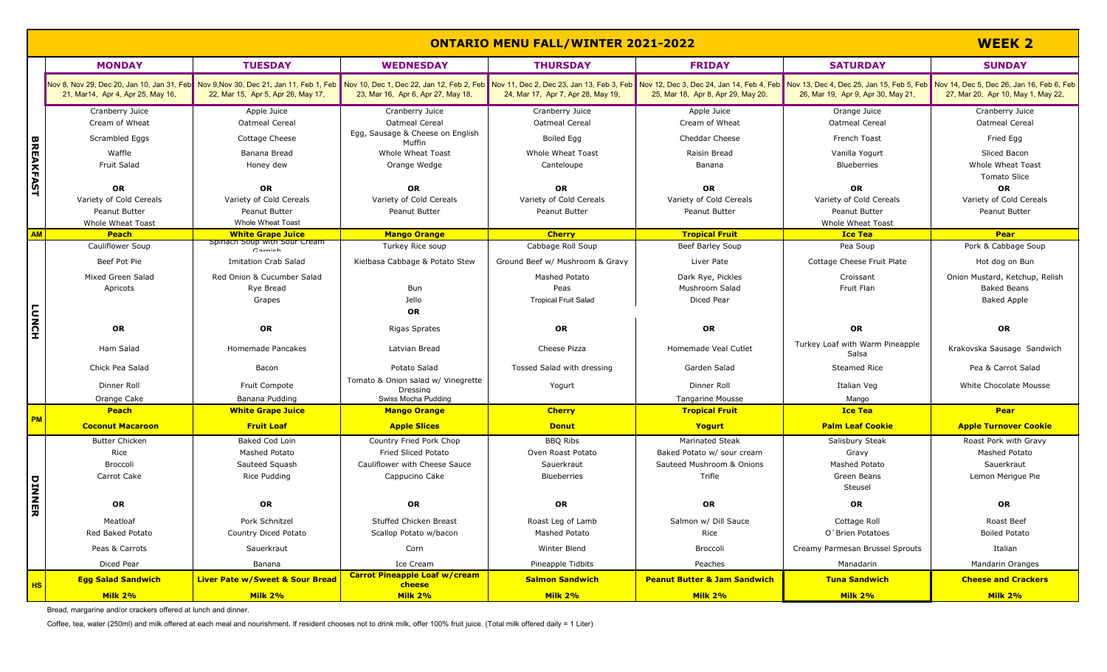|                  | <b>ONTARIO MENU FALL/WINTER 2021-2022</b>                                  |                                                                                                                                                                                                                                                                      |                                                |                                                       |                                                |                                                                     |                                                          |
|------------------|----------------------------------------------------------------------------|----------------------------------------------------------------------------------------------------------------------------------------------------------------------------------------------------------------------------------------------------------------------|------------------------------------------------|-------------------------------------------------------|------------------------------------------------|---------------------------------------------------------------------|----------------------------------------------------------|
|                  | <b>MONDAY</b>                                                              | <b>TUESDAY</b>                                                                                                                                                                                                                                                       | <b>WEDNESDAY</b>                               | <b>THURSDAY</b>                                       | <b>FRIDAY</b>                                  | <b>SATURDAY</b>                                                     | <b>SUNDAY</b>                                            |
|                  | 21, Mar14, Apr 4, Apr 25, May 16,                                          | Nov 8, Nov 29, Dec 20, Jan 10, Jan 31, Feb Nov 9,Nov 30, Dec 21, Jan 11, Feb 1, Feb 1, Feb 1, Feb 1, Feb 1, Feb 1, Dec 2, Jan 12, Feb 2, Jan 12, Feb 2, Feb Nov 11, Dec 2, Jan 13, Feb 2, Bec 23, Jan 13, Feb 3, Feb 3, Dec 3,<br>22, Mar 15, Apr 5, Apr 26, May 17, | 23, Mar 16, Apr 6, Apr 27, May 18,             | 24, Mar 17, Apr 7, Apr 28, May 19,                    | 25, Mar 18, Apr 8, Apr 29, May 20,             | 26, Mar 19, Apr 9, Apr 30, May 21,                                  | 27, Mar 20, Apr 10, May 1, May 22,                       |
|                  | Cranberry Juice<br>Cream of Wheat                                          | Apple Juice<br>Oatmeal Cereal                                                                                                                                                                                                                                        | Cranberry Juice<br>Oatmeal Cereal              | Cranberry Juice<br>Oatmeal Cereal                     | Apple Juice<br>Cream of Wheat                  | Orange Juice<br>Oatmeal Cereal                                      | Cranberry Juice<br>Oatmeal Cereal                        |
|                  | Scrambled Eggs                                                             | Cottage Cheese                                                                                                                                                                                                                                                       | Egg, Sausage & Cheese on English<br>Muffin     | Boiled Egg                                            | <b>Cheddar Cheese</b>                          | French Toast                                                        | Fried Egg                                                |
| <b>BREAKFAST</b> | Waffle<br><b>Fruit Salad</b>                                               | Banana Bread<br>Honey dew                                                                                                                                                                                                                                            | <b>Whole Wheat Toast</b><br>Orange Wedge       | <b>Whole Wheat Toast</b><br>Canteloupe                | Raisin Bread<br>Banana                         | Vanilla Yogurt<br><b>Blueberries</b>                                | Sliced Bacon<br>Whole Wheat Toast<br><b>Tomato Slice</b> |
|                  | OR<br>Variety of Cold Cereals<br><b>Peanut Butter</b><br>Whole Wheat Toast | OR<br>Variety of Cold Cereals<br>Peanut Butter<br><b>Whole Wheat Toast</b>                                                                                                                                                                                           | OR<br>Variety of Cold Cereals<br>Peanut Butter | <b>OR</b><br>Variety of Cold Cereals<br>Peanut Butter | OR<br>Variety of Cold Cereals<br>Peanut Butter | OR<br>Variety of Cold Cereals<br>Peanut Butter<br>Whole Wheat Toast | OR<br>Variety of Cold Cereals<br><b>Peanut Butter</b>    |
| <b>AM</b>        | <b>Peach</b>                                                               | <b>White Grape Juice</b>                                                                                                                                                                                                                                             | <b>Mango Orange</b>                            | <b>Cherry</b>                                         | <b>Tropical Fruit</b>                          | <b>Ice Tea</b>                                                      | <b>Pear</b>                                              |
|                  | Cauliflower Soup                                                           | Spillach Soup with Sour Cream<br>Carnich                                                                                                                                                                                                                             | Turkey Rice soup                               | Cabbage Roll Soup                                     | Beef Barley Soup                               | Pea Soup                                                            | Pork & Cabbage Soup                                      |
|                  | Beef Pot Pie                                                               | <b>Imitation Crab Salad</b>                                                                                                                                                                                                                                          | Kielbasa Cabbage & Potato Stew                 | Ground Beef w/ Mushroom & Gravy                       | Liver Pate                                     | Cottage Cheese Fruit Plate                                          | Hot dog on Bun                                           |
|                  | Mixed Green Salad                                                          | Red Onion & Cucumber Salad                                                                                                                                                                                                                                           |                                                | Mashed Potato                                         | Dark Rye, Pickles                              | Croissant                                                           | Onion Mustard, Ketchup, Relish                           |
|                  | Apricots                                                                   | Rye Bread                                                                                                                                                                                                                                                            | Bun                                            | Peas                                                  | Mushroom Salad                                 | Fruit Flan                                                          | <b>Baked Beans</b>                                       |
|                  |                                                                            | Grapes                                                                                                                                                                                                                                                               | Jello<br>OR                                    | <b>Tropical Fruit Salad</b>                           | Diced Pear                                     |                                                                     | <b>Baked Apple</b>                                       |
| <b>LUNCH</b>     | OR                                                                         | OR                                                                                                                                                                                                                                                                   | <b>Rigas Sprates</b>                           | OR                                                    | OR                                             | OR                                                                  | OR                                                       |
|                  | Ham Salad                                                                  | Homemade Pancakes                                                                                                                                                                                                                                                    | Latvian Bread                                  | Cheese Pizza                                          | Homemade Veal Cutlet                           | Turkey Loaf with Warm Pineapple<br>Salsa                            | Krakovska Sausage Sandwich                               |
|                  | Chick Pea Salad                                                            | Bacon                                                                                                                                                                                                                                                                | Potato Salad                                   | Tossed Salad with dressing                            | Garden Salad                                   | <b>Steamed Rice</b>                                                 | Pea & Carrot Salad                                       |
|                  | Dinner Roll                                                                | <b>Fruit Compote</b>                                                                                                                                                                                                                                                 | Tomato & Onion salad w/ Vinegrette<br>Dressina | Yogurt                                                | Dinner Roll                                    | Italian Veg                                                         | White Chocolate Mousse                                   |
|                  | Orange Cake                                                                | Banana Pudding                                                                                                                                                                                                                                                       | Swiss Mocha Pudding                            |                                                       | <b>Tangarine Mousse</b>                        | Mango                                                               |                                                          |
| <b>PM</b>        | Peach                                                                      | <b>White Grape Juice</b>                                                                                                                                                                                                                                             | <b>Mango Orange</b>                            | <b>Cherry</b>                                         | <b>Tropical Fruit</b>                          | <b>Ice Tea</b>                                                      | <b>Pear</b>                                              |
|                  | <b>Coconut Macaroon</b>                                                    | <b>Fruit Loaf</b>                                                                                                                                                                                                                                                    | <b>Apple Slices</b>                            | <b>Donut</b>                                          | Yogurt                                         | <b>Palm Leaf Cookie</b>                                             | <b>Apple Turnover Cookie</b>                             |
|                  | <b>Butter Chicken</b>                                                      | Baked Cod Loin                                                                                                                                                                                                                                                       | Country Fried Pork Chop                        | <b>BBQ Ribs</b>                                       | <b>Marinated Steak</b>                         | Salisbury Steak                                                     | Roast Pork with Gravy                                    |
|                  | Rice                                                                       | Mashed Potato                                                                                                                                                                                                                                                        | Fried Sliced Potato                            | Oven Roast Potato                                     | Baked Potato w/ sour cream                     | Gravy                                                               | Mashed Potato                                            |
|                  | Broccoli                                                                   | Sauteed Squash                                                                                                                                                                                                                                                       | Cauliflower with Cheese Sauce                  | Sauerkraut                                            | Sauteed Mushroom & Onions                      | Mashed Potato                                                       | Sauerkraut                                               |
| DINNER           | Carrot Cake                                                                | Rice Pudding                                                                                                                                                                                                                                                         | Cappucino Cake                                 | Blueberries                                           | Trifle                                         | Green Beans<br>Steusel                                              | Lemon Merigue Pie                                        |
|                  | OR                                                                         | OR                                                                                                                                                                                                                                                                   | OR                                             | OR                                                    | OR                                             | OR                                                                  | OR                                                       |
|                  | Meatloaf                                                                   | Pork Schnitzel                                                                                                                                                                                                                                                       | Stuffed Chicken Breast                         | Roast Leg of Lamb                                     | Salmon w/ Dill Sauce                           | Cottage Roll                                                        | Roast Beef                                               |
|                  | Red Baked Potato                                                           | Country Diced Potato                                                                                                                                                                                                                                                 | Scallop Potato w/bacon                         | Mashed Potato                                         | Rice                                           | O'Brien Potatoes                                                    | <b>Boiled Potato</b>                                     |
|                  | Peas & Carrots                                                             | Sauerkraut                                                                                                                                                                                                                                                           | Corn                                           | Winter Blend                                          | Broccoli                                       | Creamy Parmesan Brussel Sprouts                                     | Italian                                                  |
|                  | Diced Pear                                                                 | Banana                                                                                                                                                                                                                                                               | Ice Cream                                      | Pineapple Tidbits                                     | Peaches                                        | Manadarin                                                           | Mandarin Oranges                                         |
| <b>HS</b>        | <b>Egg Salad Sandwich</b>                                                  | <b>Liver Pate w/Sweet &amp; Sour Bread</b>                                                                                                                                                                                                                           | <b>Carrot Pineapple Loaf w/cream</b><br>cheese | <b>Salmon Sandwich</b>                                | <b>Peanut Butter &amp; Jam Sandwich</b>        | <b>Tuna Sandwich</b>                                                | <b>Cheese and Crackers</b>                               |
|                  | Milk 2%<br>Bread margarine and/or crackers offered at lunch and dinner     | <b>Milk 2%</b>                                                                                                                                                                                                                                                       | <b>Milk 2%</b>                                 | <b>Milk 2%</b>                                        | <b>Milk 2%</b>                                 | <b>Milk 2%</b>                                                      | Milk 2%                                                  |

ad, marga

Coffee, tea, water (250ml) and milk offered at each meal and nourishment. If resident chooses not to drink milk, offer 100% fruit juice. (Total milk offered daily = 1 Liter)